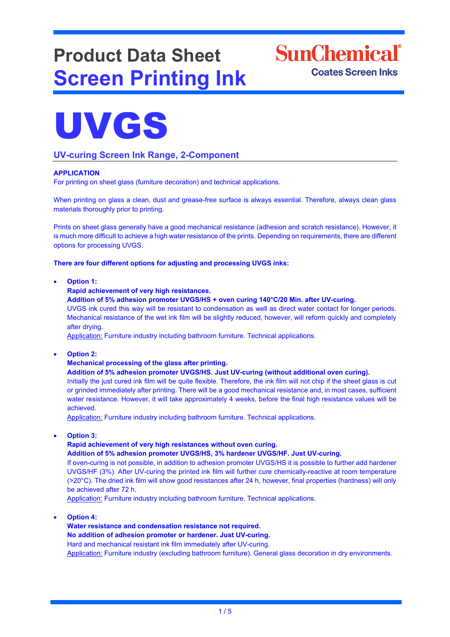# **Product Data Sheet Screen Printing Ink**

**SunChemical**<sup>®</sup> **Coates Screen Inks** 



### **UV-curing Screen Ink Range, 2-Component**

#### **APPLICATION**

For printing on sheet glass (furniture decoration) and technical applications.

When printing on glass a clean, dust and grease-free surface is always essential. Therefore, always clean glass materials thoroughly prior to printing.

Prints on sheet glass generally have a good mechanical resistance (adhesion and scratch resistance). However, it is much more difficult to achieve a high water resistance of the prints. Depending on requirements, there are different options for processing UVGS.

**There are four different options for adjusting and processing UVGS inks:** 

• **Option 1:**

**Rapid achievement of very high resistances.**

**Addition of 5% adhesion promoter UVGS/HS + oven curing 140°C/20 Min. after UV-curing.** 

UVGS ink cured this way will be resistant to condensation as well as direct water contact for longer periods. Mechanical resistance of the wet ink film will be slightly reduced, however, will reform quickly and completely after drying.

Application: Furniture industry including bathroom furniture. Technical applications.

• **Option 2:**

**Mechanical processing of the glass after printing.** 

**Addition of 5% adhesion promoter UVGS/HS. Just UV-curing (without additional oven curing).**

Initially the just cured ink film will be quite flexible. Therefore, the ink film will not chip if the sheet glass is cut or grinded immediately after printing. There will be a good mechanical resistance and, in most cases, sufficient water resistance. However, it will take approximately 4 weeks, before the final high resistance values will be achieved.

Application: Furniture industry including bathroom furniture. Technical applications.

• **Option 3:**

**Rapid achievement of very high resistances without oven curing.** 

**Addition of 5% adhesion promoter UVGS/HS, 3% hardener UVGS/HF. Just UV-curing.** 

If oven-curing is not possible, in addition to adhesion promoter UVGS/HS it is possible to further add hardener UVGS/HF (3%). After UV-curing the printed ink film will further cure chemically-reactive at room temperature (>20°C). The dried ink film will show good resistances after 24 h, however, final properties (hardness) will only be achieved after 72 h.

Application: Furniture industry including bathroom furniture. Technical applications.

• **Option 4:**

**Water resistance and condensation resistance not required. No addition of adhesion promoter or hardener. Just UV-curing.** Hard and mechanical resistant ink film immediately after UV-curing. Application: Furniture industry (excluding bathroom furniture). General glass decoration in dry environments.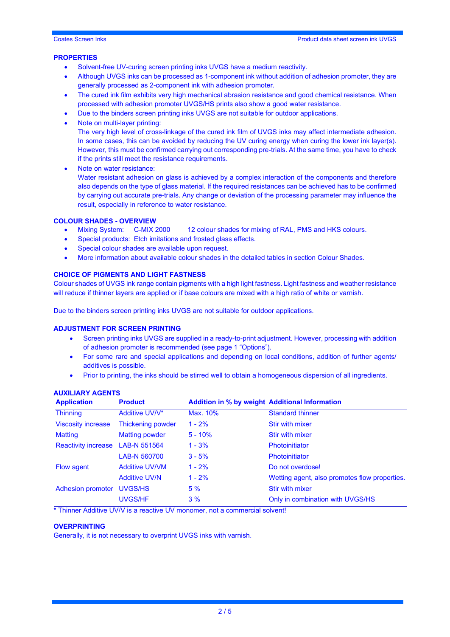#### **PROPERTIES**

- Solvent-free UV-curing screen printing inks UVGS have a medium reactivity.
- Although UVGS inks can be processed as 1-component ink without addition of adhesion promoter, they are generally processed as 2-component ink with adhesion promoter.
- The cured ink film exhibits very high mechanical abrasion resistance and good chemical resistance. When processed with adhesion promoter UVGS/HS prints also show a good water resistance.
- Due to the binders screen printing inks UVGS are not suitable for outdoor applications.
- Note on multi-layer printing: The very high level of cross-linkage of the cured ink film of UVGS inks may affect intermediate adhesion. In some cases, this can be avoided by reducing the UV curing energy when curing the lower ink layer(s).
	- However, this must be confirmed carrying out corresponding pre-trials. At the same time, you have to check if the prints still meet the resistance requirements.
	- Note on water resistance:

Water resistant adhesion on glass is achieved by a complex interaction of the components and therefore also depends on the type of glass material. If the required resistances can be achieved has to be confirmed by carrying out accurate pre-trials. Any change or deviation of the processing parameter may influence the result, especially in reference to water resistance.

## **COLOUR SHADES - OVERVIEW**

- 12 colour shades for mixing of RAL, PMS and HKS colours.
- Special products: Etch imitations and frosted glass effects.
- Special colour shades are available upon request.
- More information about available colour shades in the detailed tables in section Colour Shades.

#### **CHOICE OF PIGMENTS AND LIGHT FASTNESS**

Colour shades of UVGS ink range contain pigments with a high light fastness. Light fastness and weather resistance will reduce if thinner layers are applied or if base colours are mixed with a high ratio of white or varnish.

Due to the binders screen printing inks UVGS are not suitable for outdoor applications.

#### **ADJUSTMENT FOR SCREEN PRINTING**

- Screen printing inks UVGS are supplied in a ready-to-print adjustment. However, processing with addition of adhesion promoter is recommended (see page 1 "Options").
- For some rare and special applications and depending on local conditions, addition of further agents/ additives is possible.
- Prior to printing, the inks should be stirred well to obtain a homogeneous dispersion of all ingredients.

| <b>Application</b>         | <b>Product</b>           | <b>Addition in % by weight Additional Information</b> |                                               |  |
|----------------------------|--------------------------|-------------------------------------------------------|-----------------------------------------------|--|
| <b>Thinning</b>            | Additive UV/V*           | Max. 10%                                              | <b>Standard thinner</b>                       |  |
| <b>Viscosity increase</b>  | <b>Thickening powder</b> | $1 - 2%$                                              | Stir with mixer                               |  |
| <b>Matting</b>             | <b>Matting powder</b>    | $5 - 10%$                                             | Stir with mixer                               |  |
| <b>Reactivity increase</b> | <b>LAB-N 551564</b>      | $1 - 3%$                                              | <b>Photoinitiator</b>                         |  |
|                            | LAB-N 560700             | $3 - 5%$                                              | <b>Photoinitiator</b>                         |  |
| Flow agent                 | <b>Additive UV/VM</b>    | $1 - 2%$                                              | Do not overdose!                              |  |
|                            | <b>Additive UV/N</b>     | $1 - 2%$                                              | Wetting agent, also promotes flow properties. |  |
| Adhesion promoter          | UVGS/HS                  | 5%                                                    | Stir with mixer                               |  |
|                            | <b>UVGS/HF</b>           | 3%                                                    | Only in combination with UVGS/HS              |  |

#### **AUXILIARY AGENTS**

\* Thinner Additive UV/V is a reactive UV monomer, not a commercial solvent!

#### **OVERPRINTING**

Generally, it is not necessary to overprint UVGS inks with varnish.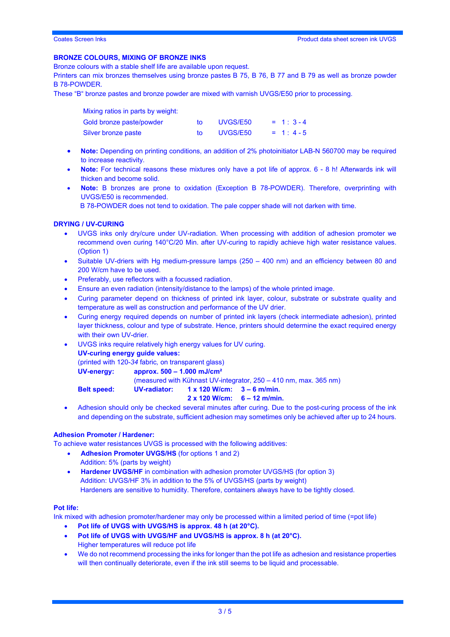#### **BRONZE COLOURS, MIXING OF BRONZE INKS**

Bronze colours with a stable shelf life are available upon request.

Printers can mix bronzes themselves using bronze pastes B 75, B 76, B 77 and B 79 as well as bronze powder B 78-POWDER.

These "B" bronze pastes and bronze powder are mixed with varnish UVGS/E50 prior to processing.

| Mixing ratios in parts by weight: |          |            |
|-----------------------------------|----------|------------|
| Gold bronze paste/powder          | UVGS/E50 | $= 1:3-4$  |
| Silver bronze paste               | UVGS/E50 | $= 1: 4-5$ |

- **Note:** Depending on printing conditions, an addition of 2% photoinitiator LAB-N 560700 may be required to increase reactivity.
- **Note:** For technical reasons these mixtures only have a pot life of approx. 6 8 h! Afterwards ink will thicken and become solid.
- **Note:** B bronzes are prone to oxidation (Exception B 78-POWDER). Therefore, overprinting with UVGS/E50 is recommended.

B 78-POWDER does not tend to oxidation. The pale copper shade will not darken with time.

#### **DRYING / UV-CURING**

- UVGS inks only dry/cure under UV-radiation. When processing with addition of adhesion promoter we recommend oven curing 140°C/20 Min. after UV-curing to rapidly achieve high water resistance values. (Option 1)
- Suitable UV-driers with Hg medium-pressure lamps (250 400 nm) and an efficiency between 80 and 200 W/cm have to be used.
- Preferably, use reflectors with a focussed radiation.
- Ensure an even radiation (intensity/distance to the lamps) of the whole printed image.
- Curing parameter depend on thickness of printed ink layer, colour, substrate or substrate quality and temperature as well as construction and performance of the UV drier.
- Curing energy required depends on number of printed ink layers (check intermediate adhesion), printed layer thickness, colour and type of substrate. Hence, printers should determine the exact required energy with their own UV-drier.
- UVGS inks require relatively high energy values for UV curing.
	- **UV-curing energy guide values:**

(printed with 120-*34* fabric*,* on transparent glass)

**UV-energy: approx. 500 – 1.000 mJ/cm²**

(measured with Kühnast UV-integrator, 250 – 410 nm, max. 365 nm)

**Belt speed: UV-radiator: 1 x 120 W/cm: 3 – 6 m/min.**

#### **2 x 120 W/cm: 6 – 12 m/min.**

• Adhesion should only be checked several minutes after curing. Due to the post-curing process of the ink and depending on the substrate, sufficient adhesion may sometimes only be achieved after up to 24 hours.

#### **Adhesion Promoter / Hardener:**

To achieve water resistances UVGS is processed with the following additives:

- **Adhesion Promoter UVGS/HS** (for options 1 and 2)
	- Addition: 5% (parts by weight)
- **Hardener UVGS/HF** in combination with adhesion promoter UVGS/HS (for option 3) Addition: UVGS/HF 3% in addition to the 5% of UVGS/HS (parts by weight) Hardeners are sensitive to humidity. Therefore, containers always have to be tightly closed.

#### **Pot life:**

Ink mixed with adhesion promoter/hardener may only be processed within a limited period of time (=pot life)

- **Pot life of UVGS with UVGS/HS is approx. 48 h (at 20°C).**
- **Pot life of UVGS with UVGS/HF and UVGS/HS is approx. 8 h (at 20°C).** Higher temperatures will reduce pot life
- We do not recommend processing the inks for longer than the pot life as adhesion and resistance properties will then continually deteriorate, even if the ink still seems to be liquid and processable.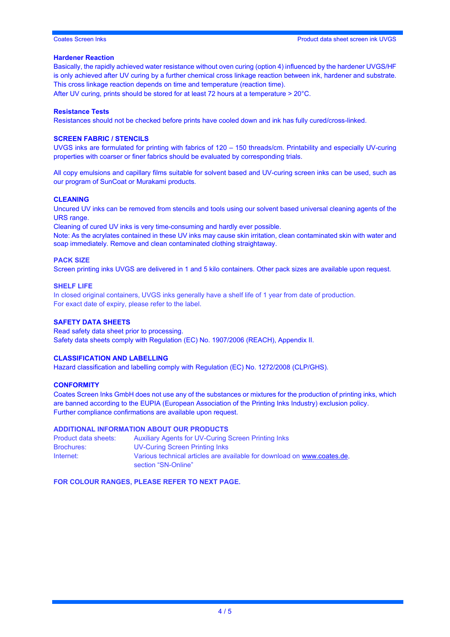#### Coates Screen Inks Product data sheet screen ink UVGS

#### **Hardener Reaction**

Basically, the rapidly achieved water resistance without oven curing (option 4) influenced by the hardener UVGS/HF is only achieved after UV curing by a further chemical cross linkage reaction between ink, hardener and substrate. This cross linkage reaction depends on time and temperature (reaction time).

After UV curing, prints should be stored for at least 72 hours at a temperature > 20°C.

#### **Resistance Tests**

Resistances should not be checked before prints have cooled down and ink has fully cured/cross-linked.

#### **SCREEN FABRIC / STENCILS**

UVGS inks are formulated for printing with fabrics of 120 – 150 threads/cm. Printability and especially UV-curing properties with coarser or finer fabrics should be evaluated by corresponding trials.

All copy emulsions and capillary films suitable for solvent based and UV-curing screen inks can be used, such as our program of SunCoat or Murakami products.

#### **CLEANING**

Uncured UV inks can be removed from stencils and tools using our solvent based universal cleaning agents of the URS range.

Cleaning of cured UV inks is very time-consuming and hardly ever possible.

Note: As the acrylates contained in these UV inks may cause skin irritation, clean contaminated skin with water and soap immediately. Remove and clean contaminated clothing straightaway.

#### **PACK SIZE**

Screen printing inks UVGS are delivered in 1 and 5 kilo containers. Other pack sizes are available upon request.

#### **SHELF LIFE**

In closed original containers, UVGS inks generally have a shelf life of 1 year from date of production. For exact date of expiry, please refer to the label.

#### **SAFETY DATA SHEETS**

Read safety data sheet prior to processing. Safety data sheets comply with Regulation (EC) No. 1907/2006 (REACH), Appendix II.

#### **CLASSIFICATION AND LABELLING**

Hazard classification and labelling comply with Regulation (EC) No. 1272/2008 (CLP/GHS).

#### **CONFORMITY**

Coates Screen Inks GmbH does not use any of the substances or mixtures for the production of printing inks, which are banned according to the EUPIA (European Association of the Printing Inks Industry) exclusion policy. Further compliance confirmations are available upon request.

#### **ADDITIONAL INFORMATION ABOUT OUR PRODUCTS**

| Product data sheets: | <b>Auxiliary Agents for UV-Curing Screen Printing Inks</b>              |
|----------------------|-------------------------------------------------------------------------|
| <b>Brochures:</b>    | UV-Curing Screen Printing Inks                                          |
| Internet:            | Various technical articles are available for download on www.coates.de. |
|                      | section "SN-Online"                                                     |

**FOR COLOUR RANGES, PLEASE REFER TO NEXT PAGE.**